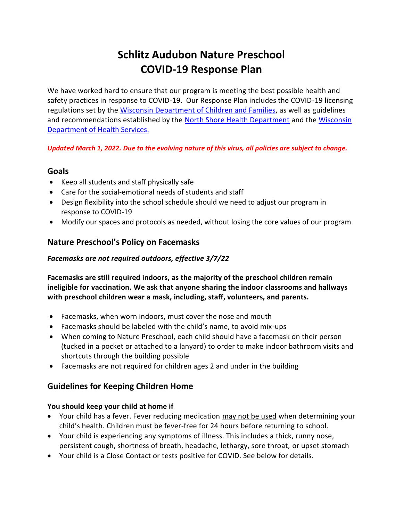# **Schlitz Audubon Nature Preschool COVID-19 Response Plan**

We have worked hard to ensure that our program is meeting the best possible health and safety practices in response to COVID-19. Our Response Plan includes the COVID-19 licensing regulations set by the [Wisconsin Department of Children and Families,](https://dcf.wisconsin.gov/) as well as guidelines and recommendations established by the [North Shore Health Department](https://www.nshealthdept.org/) and the [Wisconsin](https://www.dhs.wisconsin.gov/)  [Department of Health](https://www.dhs.wisconsin.gov/) Services.

*Updated March 1, 2022. Due to the evolving nature of this virus, all policies are subject to change.*

### **Goals**

- Keep all students and staff physically safe
- Care for the social-emotional needs of students and staff
- Design flexibility into the school schedule should we need to adjust our program in response to COVID-19
- Modify our spaces and protocols as needed, without losing the core values of our program

## **Nature Preschool's Policy on Facemasks**

### *Facemasks are not required outdoors, effective 3/7/22*

**Facemasks are still required indoors, as the majority of the preschool children remain ineligible for vaccination. We ask that anyone sharing the indoor classrooms and hallways with preschool children wear a mask, including, staff, volunteers, and parents.**

- Facemasks, when worn indoors, must cover the nose and mouth
- Facemasks should be labeled with the child's name, to avoid mix-ups
- When coming to Nature Preschool, each child should have a facemask on their person (tucked in a pocket or attached to a lanyard) to order to make indoor bathroom visits and shortcuts through the building possible
- Facemasks are not required for children ages 2 and under in the building

## **Guidelines for Keeping Children Home**

#### **You should keep your child at home if**

- Your child has a fever. Fever reducing medication may not be used when determining your child's health. Children must be fever-free for 24 hours before returning to school.
- Your child is experiencing any symptoms of illness. This includes a thick, runny nose, persistent cough, shortness of breath, headache, lethargy, sore throat, or upset stomach
- Your child is a Close Contact or tests positive for COVID. See below for details.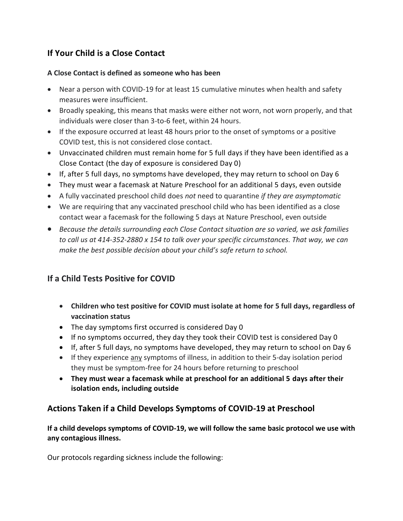# **If Your Child is a Close Contact**

#### **A Close Contact is defined as someone who has been**

- Near a person with COVID-19 for at least 15 cumulative minutes when health and safety measures were insufficient.
- Broadly speaking, this means that masks were either not worn, not worn properly, and that individuals were closer than 3-to-6 feet, within 24 hours.
- If the exposure occurred at least 48 hours prior to the onset of symptoms or a positive COVID test, this is not considered close contact.
- Unvaccinated children must remain home for 5 full days if they have been identified as a Close Contact (the day of exposure is considered Day 0)
- If, after 5 full days, no symptoms have developed, they may return to school on Day 6
- They must wear a facemask at Nature Preschool for an additional 5 days, even outside
- A fully vaccinated preschool child does *not* need to quarantine *if they are asymptomatic*
- We are requiring that any vaccinated preschool child who has been identified as a close contact wear a facemask for the following 5 days at Nature Preschool, even outside
- *Because the details surrounding each Close Contact situation are so varied, we ask families to call us at 414-352-2880 x 154 to talk over your specific circumstances. That way, we can make the best possible decision about your child's safe return to school.*

# **If a Child Tests Positive for COVID**

- **Children who test positive for COVID must isolate at home for 5 full days, regardless of vaccination status**
- The day symptoms first occurred is considered Day 0
- If no symptoms occurred, they day they took their COVID test is considered Day 0
- If, after 5 full days, no symptoms have developed, they may return to school on Day 6
- If they experience any symptoms of illness, in addition to their 5-day isolation period they must be symptom-free for 24 hours before returning to preschool
- **They must wear a facemask while at preschool for an additional 5 days after their isolation ends, including outside**

# **Actions Taken if a Child Develops Symptoms of COVID-19 at Preschool**

**If a child develops symptoms of COVID-19, we will follow the same basic protocol we use with any contagious illness.** 

Our protocols regarding sickness include the following: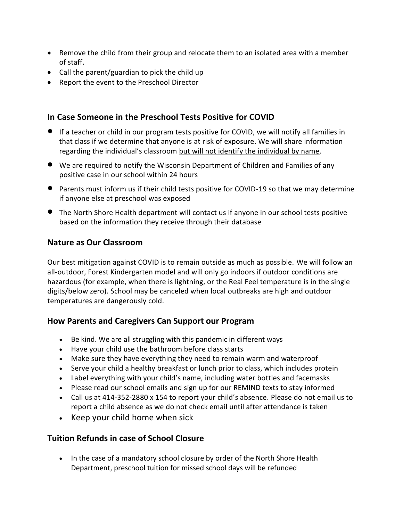- Remove the child from their group and relocate them to an isolated area with a member of staff.
- Call the parent/guardian to pick the child up
- Report the event to the Preschool Director

### **In Case Someone in the Preschool Tests Positive for COVID**

- If a teacher or child in our program tests positive for COVID, we will notify all families in that class if we determine that anyone is at risk of exposure. We will share information regarding the individual's classroom but will not identify the individual by name.
- We are required to notify the Wisconsin Department of Children and Families of any positive case in our school within 24 hours
- Parents must inform us if their child tests positive for COVID-19 so that we may determine if anyone else at preschool was exposed
- The North Shore Health department will contact us if anyone in our school tests positive based on the information they receive through their database

### **Nature as Our Classroom**

Our best mitigation against COVID is to remain outside as much as possible. We will follow an all-outdoor, Forest Kindergarten model and will only go indoors if outdoor conditions are hazardous (for example, when there is lightning, or the Real Feel temperature is in the single digits/below zero). School may be canceled when local outbreaks are high and outdoor temperatures are dangerously cold.

## **How Parents and Caregivers Can Support our Program**

- Be kind. We are all struggling with this pandemic in different ways
- Have your child use the bathroom before class starts
- Make sure they have everything they need to remain warm and waterproof
- Serve your child a healthy breakfast or lunch prior to class, which includes protein
- Label everything with your child's name, including water bottles and facemasks
- Please read our school emails and sign up for our REMIND texts to stay informed
- Call us at 414-352-2880 x 154 to report your child's absence. Please do not email us to report a child absence as we do not check email until after attendance is taken
- $\bullet$  Keep your child home when sick

## **Tuition Refunds in case of School Closure**

• In the case of a mandatory school closure by order of the North Shore Health Department, preschool tuition for missed school days will be refunded